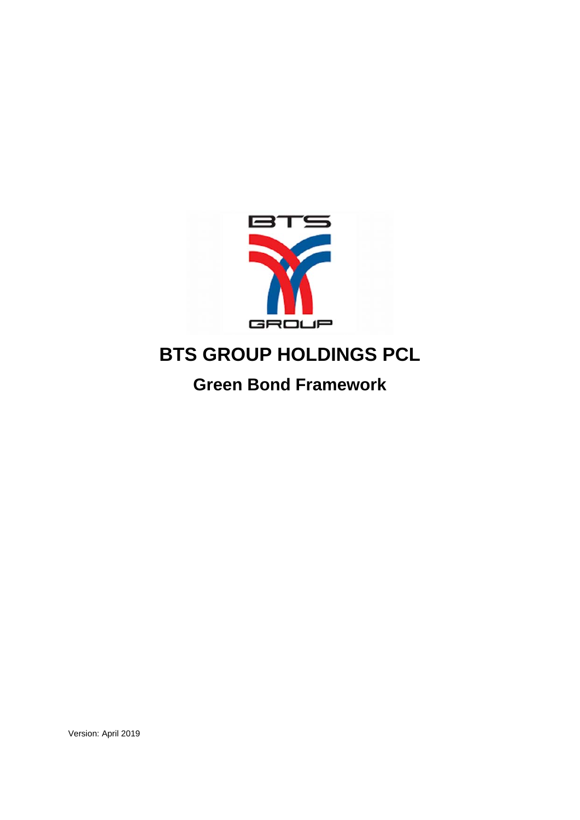

# **BTS GROUP HOLDINGS PCL**

**Green Bond Framework** 

Version: April 2019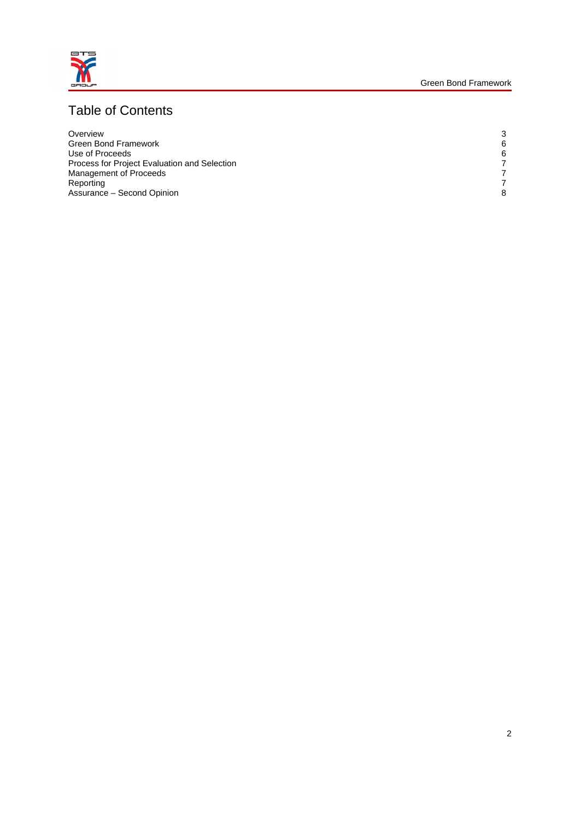

# Table of Contents

| Overview                                     | 3 |
|----------------------------------------------|---|
| <b>Green Bond Framework</b>                  | 6 |
| Use of Proceeds                              | 6 |
| Process for Project Evaluation and Selection |   |
| Management of Proceeds                       |   |
| Reporting                                    |   |
| Assurance - Second Opinion                   | 8 |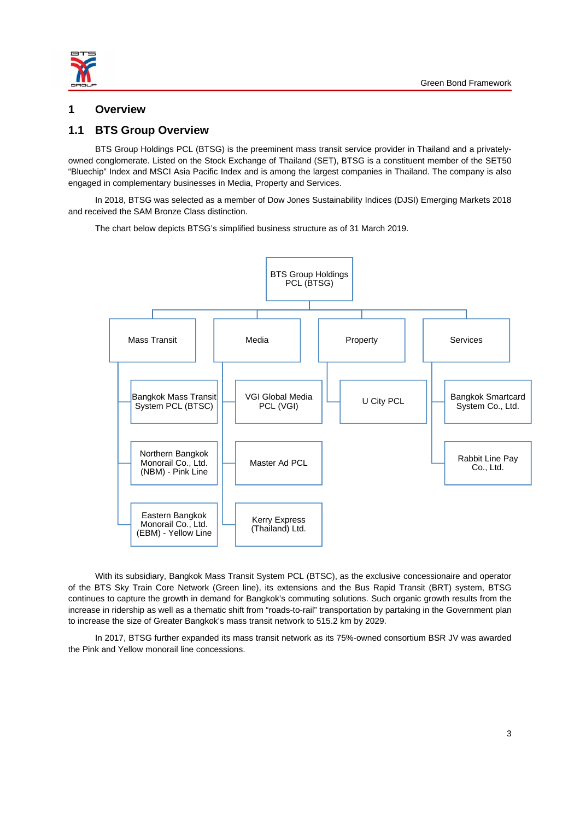

## **1 Overview**

## **1.1 BTS Group Overview**

BTS Group Holdings PCL (BTSG) is the preeminent mass transit service provider in Thailand and a privatelyowned conglomerate. Listed on the Stock Exchange of Thailand (SET), BTSG is a constituent member of the SET50 "Bluechip" Index and MSCI Asia Pacific Index and is among the largest companies in Thailand. The company is also engaged in complementary businesses in Media, Property and Services.

In 2018, BTSG was selected as a member of Dow Jones Sustainability Indices (DJSI) Emerging Markets 2018 and received the SAM Bronze Class distinction.

The chart below depicts BTSG's simplified business structure as of 31 March 2019.



With its subsidiary, Bangkok Mass Transit System PCL (BTSC), as the exclusive concessionaire and operator of the BTS Sky Train Core Network (Green line), its extensions and the Bus Rapid Transit (BRT) system, BTSG continues to capture the growth in demand for Bangkok's commuting solutions. Such organic growth results from the increase in ridership as well as a thematic shift from "roads-to-rail" transportation by partaking in the Government plan to increase the size of Greater Bangkok's mass transit network to 515.2 km by 2029.

In 2017, BTSG further expanded its mass transit network as its 75%-owned consortium BSR JV was awarded the Pink and Yellow monorail line concessions.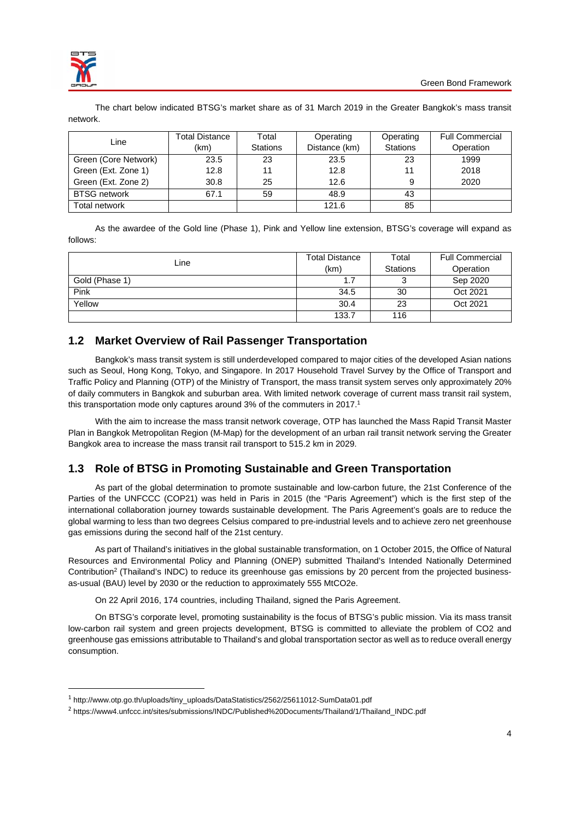

The chart below indicated BTSG's market share as of 31 March 2019 in the Greater Bangkok's mass transit network.

|                      | Total Distance | Total           | Operating     | Operating       | <b>Full Commercial</b> |
|----------------------|----------------|-----------------|---------------|-----------------|------------------------|
| Line                 | (km)           | <b>Stations</b> | Distance (km) | <b>Stations</b> | Operation              |
| Green (Core Network) | 23.5           | 23              | 23.5          | 23              | 1999                   |
| Green (Ext. Zone 1)  | 12.8           | 11              | 12.8          | 11              | 2018                   |
| Green (Ext. Zone 2)  | 30.8           | 25              | 12.6          | 9               | 2020                   |
| <b>BTSG network</b>  | 67.1           | 59              | 48.9          | 43              |                        |
| Total network        |                |                 | 121.6         | 85              |                        |

As the awardee of the Gold line (Phase 1), Pink and Yellow line extension, BTSG's coverage will expand as follows:

|                | <b>Total Distance</b> | Total           | <b>Full Commercial</b> |  |
|----------------|-----------------------|-----------------|------------------------|--|
| ∟ine           | (km)                  | <b>Stations</b> | Operation              |  |
| Gold (Phase 1) |                       |                 | Sep 2020               |  |
| Pink           | 34.5                  | 30              | Oct 2021               |  |
| Yellow         | 30.4                  | 23              | Oct 2021               |  |
|                | 133.7                 | 116             |                        |  |

# **1.2 Market Overview of Rail Passenger Transportation**

Bangkok's mass transit system is still underdeveloped compared to major cities of the developed Asian nations such as Seoul, Hong Kong, Tokyo, and Singapore. In 2017 Household Travel Survey by the Office of Transport and Traffic Policy and Planning (OTP) of the Ministry of Transport, the mass transit system serves only approximately 20% of daily commuters in Bangkok and suburban area. With limited network coverage of current mass transit rail system, this transportation mode only captures around 3% of the commuters in 2017.<sup>1</sup>

With the aim to increase the mass transit network coverage, OTP has launched the Mass Rapid Transit Master Plan in Bangkok Metropolitan Region (M-Map) for the development of an urban rail transit network serving the Greater Bangkok area to increase the mass transit rail transport to 515.2 km in 2029.

# **1.3 Role of BTSG in Promoting Sustainable and Green Transportation**

As part of the global determination to promote sustainable and low-carbon future, the 21st Conference of the Parties of the UNFCCC (COP21) was held in Paris in 2015 (the "Paris Agreement") which is the first step of the international collaboration journey towards sustainable development. The Paris Agreement's goals are to reduce the global warming to less than two degrees Celsius compared to pre-industrial levels and to achieve zero net greenhouse gas emissions during the second half of the 21st century.

As part of Thailand's initiatives in the global sustainable transformation, on 1 October 2015, the Office of Natural Resources and Environmental Policy and Planning (ONEP) submitted Thailand's Intended Nationally Determined Contribution2 (Thailand's INDC) to reduce its greenhouse gas emissions by 20 percent from the projected businessas-usual (BAU) level by 2030 or the reduction to approximately 555 MtCO2e.

On 22 April 2016, 174 countries, including Thailand, signed the Paris Agreement.

On BTSG's corporate level, promoting sustainability is the focus of BTSG's public mission. Via its mass transit low-carbon rail system and green projects development, BTSG is committed to alleviate the problem of CO2 and greenhouse gas emissions attributable to Thailand's and global transportation sector as well as to reduce overall energy consumption.

<sup>1</sup> http://www.otp.go.th/uploads/tiny\_uploads/DataStatistics/2562/25611012-SumData01.pdf

<sup>2</sup> https://www4.unfccc.int/sites/submissions/INDC/Published%20Documents/Thailand/1/Thailand\_INDC.pdf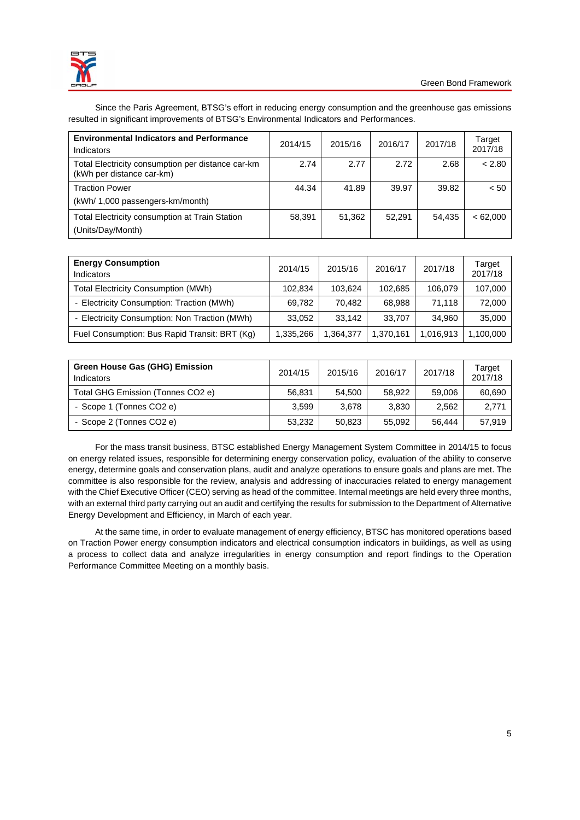

Since the Paris Agreement, BTSG's effort in reducing energy consumption and the greenhouse gas emissions resulted in significant improvements of BTSG's Environmental Indicators and Performances.

| <b>Environmental Indicators and Performance</b><br>Indicators                  | 2014/15 | 2015/16 | 2016/17 | 2017/18 | Target<br>2017/18 |
|--------------------------------------------------------------------------------|---------|---------|---------|---------|-------------------|
| Total Electricity consumption per distance car-km<br>(kWh per distance car-km) | 2.74    | 2.77    | 2.72    | 2.68    | < 2.80            |
| <b>Traction Power</b><br>(kWh/ 1,000 passengers-km/month)                      | 44.34   | 41.89   | 39.97   | 39.82   | < 50              |
| Total Electricity consumption at Train Station<br>(Units/Day/Month)            | 58,391  | 51,362  | 52.291  | 54.435  | <62.000           |

| <b>Energy Consumption</b><br>Indicators       | 2014/15   | 2015/16   | 2016/17   | 2017/18   | Target<br>2017/18 |
|-----------------------------------------------|-----------|-----------|-----------|-----------|-------------------|
| <b>Total Electricity Consumption (MWh)</b>    | 102.834   | 103.624   | 102,685   | 106.079   | 107.000           |
| - Electricity Consumption: Traction (MWh)     | 69.782    | 70.482    | 68.988    | 71.118    | 72,000            |
| - Electricity Consumption: Non Traction (MWh) | 33.052    | 33.142    | 33.707    | 34.960    | 35,000            |
| Fuel Consumption: Bus Rapid Transit: BRT (Kg) | 1.335.266 | 1,364,377 | 1,370,161 | 1,016,913 | 1,100,000         |

| <b>Green House Gas (GHG) Emission</b><br>Indicators | 2014/15 | 2015/16 | 2016/17 | 2017/18 | Target<br>2017/18 |
|-----------------------------------------------------|---------|---------|---------|---------|-------------------|
| Total GHG Emission (Tonnes CO2 e)                   | 56.831  | 54.500  | 58.922  | 59,006  | 60,690            |
| - Scope 1 (Tonnes CO2 e)                            | 3.599   | 3.678   | 3.830   | 2,562   | 2,771             |
| - Scope 2 (Tonnes CO2 e)                            | 53.232  | 50.823  | 55.092  | 56.444  | 57.919            |

For the mass transit business, BTSC established Energy Management System Committee in 2014/15 to focus on energy related issues, responsible for determining energy conservation policy, evaluation of the ability to conserve energy, determine goals and conservation plans, audit and analyze operations to ensure goals and plans are met. The committee is also responsible for the review, analysis and addressing of inaccuracies related to energy management with the Chief Executive Officer (CEO) serving as head of the committee. Internal meetings are held every three months, with an external third party carrying out an audit and certifying the results for submission to the Department of Alternative Energy Development and Efficiency, in March of each year.

At the same time, in order to evaluate management of energy efficiency, BTSC has monitored operations based on Traction Power energy consumption indicators and electrical consumption indicators in buildings, as well as using a process to collect data and analyze irregularities in energy consumption and report findings to the Operation Performance Committee Meeting on a monthly basis.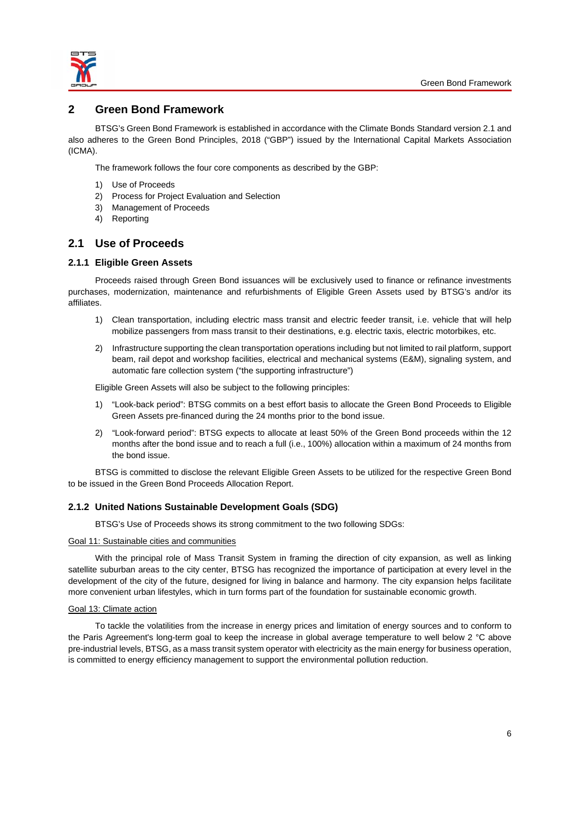

## **2 Green Bond Framework**

BTSG's Green Bond Framework is established in accordance with the Climate Bonds Standard version 2.1 and also adheres to the Green Bond Principles, 2018 ("GBP") issued by the International Capital Markets Association (ICMA).

The framework follows the four core components as described by the GBP:

- 1) Use of Proceeds
- 2) Process for Project Evaluation and Selection
- 3) Management of Proceeds
- 4) Reporting

## **2.1 Use of Proceeds**

## **2.1.1 Eligible Green Assets**

Proceeds raised through Green Bond issuances will be exclusively used to finance or refinance investments purchases, modernization, maintenance and refurbishments of Eligible Green Assets used by BTSG's and/or its affiliates.

- 1) Clean transportation, including electric mass transit and electric feeder transit, i.e. vehicle that will help mobilize passengers from mass transit to their destinations, e.g. electric taxis, electric motorbikes, etc.
- 2) Infrastructure supporting the clean transportation operations including but not limited to rail platform, support beam, rail depot and workshop facilities, electrical and mechanical systems (E&M), signaling system, and automatic fare collection system ("the supporting infrastructure")

Eligible Green Assets will also be subject to the following principles:

- 1) "Look-back period": BTSG commits on a best effort basis to allocate the Green Bond Proceeds to Eligible Green Assets pre-financed during the 24 months prior to the bond issue.
- 2) "Look-forward period": BTSG expects to allocate at least 50% of the Green Bond proceeds within the 12 months after the bond issue and to reach a full (i.e., 100%) allocation within a maximum of 24 months from the bond issue.

BTSG is committed to disclose the relevant Eligible Green Assets to be utilized for the respective Green Bond to be issued in the Green Bond Proceeds Allocation Report.

#### **2.1.2 United Nations Sustainable Development Goals (SDG)**

BTSG's Use of Proceeds shows its strong commitment to the two following SDGs:

#### Goal 11: Sustainable cities and communities

With the principal role of Mass Transit System in framing the direction of city expansion, as well as linking satellite suburban areas to the city center, BTSG has recognized the importance of participation at every level in the development of the city of the future, designed for living in balance and harmony. The city expansion helps facilitate more convenient urban lifestyles, which in turn forms part of the foundation for sustainable economic growth.

#### Goal 13: Climate action

To tackle the volatilities from the increase in energy prices and limitation of energy sources and to conform to the Paris Agreement's long-term goal to keep the increase in global average temperature to well below 2 °C above pre-industrial levels, BTSG, as a mass transit system operator with electricity as the main energy for business operation, is committed to energy efficiency management to support the environmental pollution reduction.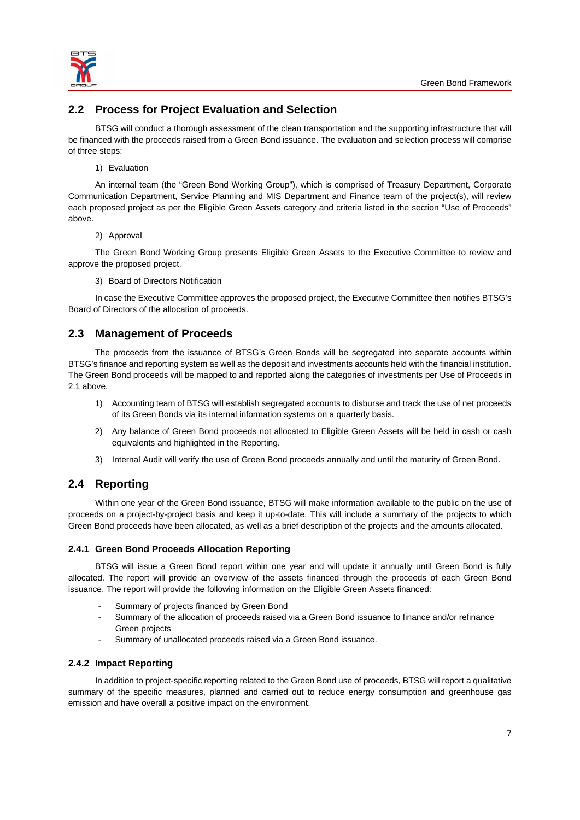

# **2.2 Process for Project Evaluation and Selection**

BTSG will conduct a thorough assessment of the clean transportation and the supporting infrastructure that will be financed with the proceeds raised from a Green Bond issuance. The evaluation and selection process will comprise of three steps:

#### 1) Evaluation

An internal team (the "Green Bond Working Group"), which is comprised of Treasury Department, Corporate Communication Department, Service Planning and MIS Department and Finance team of the project(s), will review each proposed project as per the Eligible Green Assets category and criteria listed in the section "Use of Proceeds" above.

#### 2) Approval

The Green Bond Working Group presents Eligible Green Assets to the Executive Committee to review and approve the proposed project.

3) Board of Directors Notification

In case the Executive Committee approves the proposed project, the Executive Committee then notifies BTSG's Board of Directors of the allocation of proceeds.

# **2.3 Management of Proceeds**

The proceeds from the issuance of BTSG's Green Bonds will be segregated into separate accounts within BTSG's finance and reporting system as well as the deposit and investments accounts held with the financial institution. The Green Bond proceeds will be mapped to and reported along the categories of investments per Use of Proceeds in 2.1 above.

- 1) Accounting team of BTSG will establish segregated accounts to disburse and track the use of net proceeds of its Green Bonds via its internal information systems on a quarterly basis.
- 2) Any balance of Green Bond proceeds not allocated to Eligible Green Assets will be held in cash or cash equivalents and highlighted in the Reporting.
- 3) Internal Audit will verify the use of Green Bond proceeds annually and until the maturity of Green Bond.

# **2.4 Reporting**

Within one year of the Green Bond issuance, BTSG will make information available to the public on the use of proceeds on a project-by-project basis and keep it up-to-date. This will include a summary of the projects to which Green Bond proceeds have been allocated, as well as a brief description of the projects and the amounts allocated.

## **2.4.1 Green Bond Proceeds Allocation Reporting**

BTSG will issue a Green Bond report within one year and will update it annually until Green Bond is fully allocated. The report will provide an overview of the assets financed through the proceeds of each Green Bond issuance. The report will provide the following information on the Eligible Green Assets financed:

- Summary of projects financed by Green Bond
- Summary of the allocation of proceeds raised via a Green Bond issuance to finance and/or refinance Green projects
- Summary of unallocated proceeds raised via a Green Bond issuance.

## **2.4.2 Impact Reporting**

In addition to project-specific reporting related to the Green Bond use of proceeds, BTSG will report a qualitative summary of the specific measures, planned and carried out to reduce energy consumption and greenhouse gas emission and have overall a positive impact on the environment.